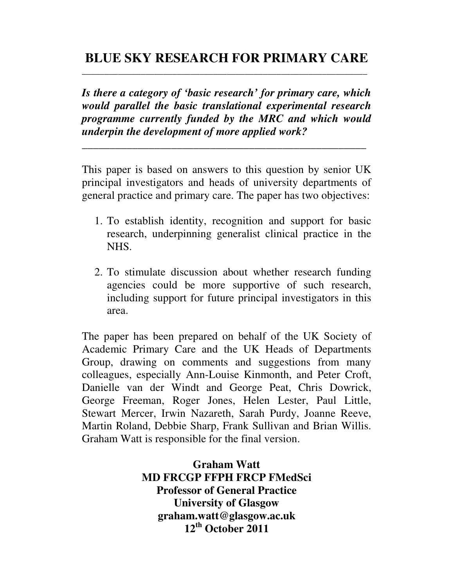# **BLUE SKY RESEARCH FOR PRIMARY CARE \_\_\_\_\_\_\_\_\_\_\_\_\_\_\_\_\_\_\_\_\_\_\_\_\_\_\_\_\_\_\_\_\_\_\_\_\_\_\_\_\_\_\_\_\_\_\_\_\_\_\_\_\_\_\_\_\_\_\_\_\_\_\_**

*Is there a category of 'basic research' for primary care, which would parallel the basic translational experimental research programme currently funded by the MRC and which would underpin the development of more applied work?* 

*\_\_\_\_\_\_\_\_\_\_\_\_\_\_\_\_\_\_\_\_\_\_\_\_\_\_\_\_\_\_\_\_\_\_\_\_\_\_\_\_\_\_\_\_\_\_\_\_\_\_\_*

This paper is based on answers to this question by senior UK principal investigators and heads of university departments of general practice and primary care. The paper has two objectives:

- 1. To establish identity, recognition and support for basic research, underpinning generalist clinical practice in the NHS.
- 2. To stimulate discussion about whether research funding agencies could be more supportive of such research, including support for future principal investigators in this area.

The paper has been prepared on behalf of the UK Society of Academic Primary Care and the UK Heads of Departments Group, drawing on comments and suggestions from many colleagues, especially Ann-Louise Kinmonth, and Peter Croft, Danielle van der Windt and George Peat, Chris Dowrick, George Freeman, Roger Jones, Helen Lester, Paul Little, Stewart Mercer, Irwin Nazareth, Sarah Purdy, Joanne Reeve, Martin Roland, Debbie Sharp, Frank Sullivan and Brian Willis. Graham Watt is responsible for the final version.

> **Graham Watt MD FRCGP FFPH FRCP FMedSci Professor of General Practice University of Glasgow graham.watt@glasgow.ac.uk 12th October 2011**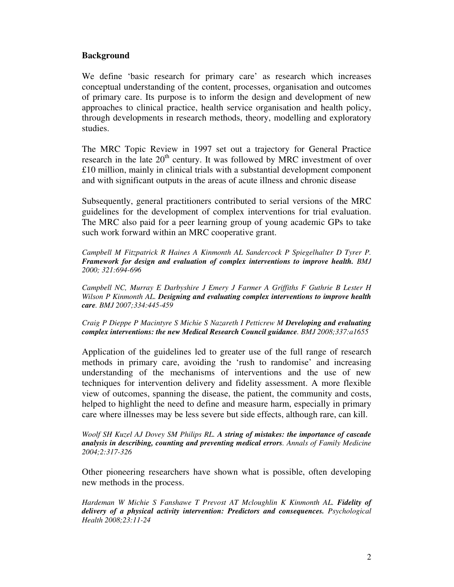### **Background**

We define 'basic research for primary care' as research which increases conceptual understanding of the content, processes, organisation and outcomes of primary care. Its purpose is to inform the design and development of new approaches to clinical practice, health service organisation and health policy, through developments in research methods, theory, modelling and exploratory studies.

The MRC Topic Review in 1997 set out a trajectory for General Practice research in the late  $20<sup>th</sup>$  century. It was followed by MRC investment of over £10 million, mainly in clinical trials with a substantial development component and with significant outputs in the areas of acute illness and chronic disease

Subsequently, general practitioners contributed to serial versions of the MRC guidelines for the development of complex interventions for trial evaluation. The MRC also paid for a peer learning group of young academic GPs to take such work forward within an MRC cooperative grant.

*Campbell M Fitzpatrick R Haines A Kinmonth AL Sandercock P Spiegelhalter D Tyrer P. Framework for design and evaluation of complex interventions to improve health. BMJ 2000; 321:694-696* 

*Campbell NC, Murray E Darbyshire J Emery J Farmer A Griffiths F Guthrie B Lester H Wilson P Kinmonth AL. Designing and evaluating complex interventions to improve health care. BMJ 2007;334:445-459* 

*Craig P Dieppe P Macintyre S Michie S Nazareth I Petticrew M Developing and evaluating complex interventions: the new Medical Research Council guidance. BMJ 2008;337:a1655* 

Application of the guidelines led to greater use of the full range of research methods in primary care, avoiding the 'rush to randomise' and increasing understanding of the mechanisms of interventions and the use of new techniques for intervention delivery and fidelity assessment. A more flexible view of outcomes, spanning the disease, the patient, the community and costs, helped to highlight the need to define and measure harm, especially in primary care where illnesses may be less severe but side effects, although rare, can kill.

*Woolf SH Kuzel AJ Dovey SM Philips RL. A string of mistakes: the importance of cascade analysis in describing, counting and preventing medical errors. Annals of Family Medicine 2004;2:317-326* 

Other pioneering researchers have shown what is possible, often developing new methods in the process.

*Hardeman W Michie S Fanshawe T Prevost AT Mcloughlin K Kinmonth AL. Fidelity of delivery of a physical activity intervention: Predictors and consequences. Psychological Health 2008;23:11-24*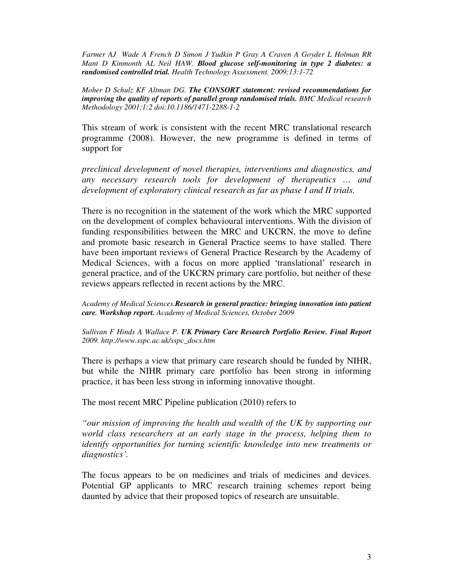*Farmer AJ Wade A French D Simon J Yudkin P Gray A Craven A Goyder L Holman RR Mant D Kinmonth AL Neil HAW. Blood glucose self-monitoring in type 2 diabetes: a randomised controlled trial. Health Technology Assessment. 2009;13:1-72* 

*Moher D Schulz KF Altman DG. The CONSORT statement: revised recommendations for improving the quality of reports of parallel group randomised trials. BMC Medical research Methodology 2001;1:2 doi:10.1186/1471-2288-1-2* 

This stream of work is consistent with the recent MRC translational research programme (2008). However, the new programme is defined in terms of support for

*preclinical development of novel therapies, interventions and diagnostics, and any necessary research tools for development of therapeutics … and development of exploratory clinical research as far as phase I and II trials.* 

There is no recognition in the statement of the work which the MRC supported on the development of complex behavioural interventions. With the division of funding responsibilities between the MRC and UKCRN, the move to define and promote basic research in General Practice seems to have stalled. There have been important reviews of General Practice Research by the Academy of Medical Sciences, with a focus on more applied 'translational' research in general practice, and of the UKCRN primary care portfolio, but neither of these reviews appears reflected in recent actions by the MRC.

*Academy of Medical Sciences.Research in general practice: bringing innovation into patient care. Workshop report. Academy of Medical Sciences, October 2009* 

*Sullivan F Hinds A Wallace P. UK Primary Care Research Portfolio Review. Final Report 2009. http://www.sspc.ac.uk/sspc\_docs.htm* 

There is perhaps a view that primary care research should be funded by NIHR, but while the NIHR primary care portfolio has been strong in informing practice, it has been less strong in informing innovative thought.

The most recent MRC Pipeline publication (2010) refers to

*"our mission of improving the health and wealth of the UK by supporting our world class researchers at an early stage in the process, helping them to identify opportunities for turning scientific knowledge into new treatments or diagnostics'.* 

The focus appears to be on medicines and trials of medicines and devices. Potential GP applicants to MRC research training schemes report being daunted by advice that their proposed topics of research are unsuitable.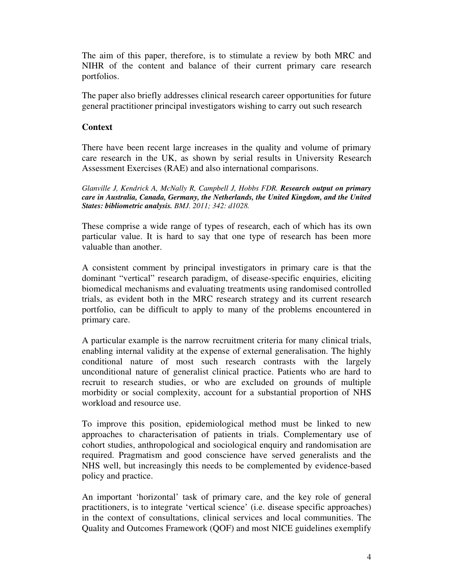The aim of this paper, therefore, is to stimulate a review by both MRC and NIHR of the content and balance of their current primary care research portfolios.

The paper also briefly addresses clinical research career opportunities for future general practitioner principal investigators wishing to carry out such research

## **Context**

There have been recent large increases in the quality and volume of primary care research in the UK, as shown by serial results in University Research Assessment Exercises (RAE) and also international comparisons.

*Glanville J, Kendrick A, McNally R, Campbell J, Hobbs FDR. Research output on primary care in Australia, Canada, Germany, the Netherlands, the United Kingdom, and the United States: bibliometric analysis. BMJ. 2011; 342: d1028.* 

These comprise a wide range of types of research, each of which has its own particular value. It is hard to say that one type of research has been more valuable than another.

A consistent comment by principal investigators in primary care is that the dominant "vertical" research paradigm, of disease-specific enquiries, eliciting biomedical mechanisms and evaluating treatments using randomised controlled trials, as evident both in the MRC research strategy and its current research portfolio, can be difficult to apply to many of the problems encountered in primary care.

A particular example is the narrow recruitment criteria for many clinical trials, enabling internal validity at the expense of external generalisation. The highly conditional nature of most such research contrasts with the largely unconditional nature of generalist clinical practice. Patients who are hard to recruit to research studies, or who are excluded on grounds of multiple morbidity or social complexity, account for a substantial proportion of NHS workload and resource use.

To improve this position, epidemiological method must be linked to new approaches to characterisation of patients in trials. Complementary use of cohort studies, anthropological and sociological enquiry and randomisation are required. Pragmatism and good conscience have served generalists and the NHS well, but increasingly this needs to be complemented by evidence-based policy and practice.

An important 'horizontal' task of primary care, and the key role of general practitioners, is to integrate 'vertical science' (i.e. disease specific approaches) in the context of consultations, clinical services and local communities. The Quality and Outcomes Framework (QOF) and most NICE guidelines exemplify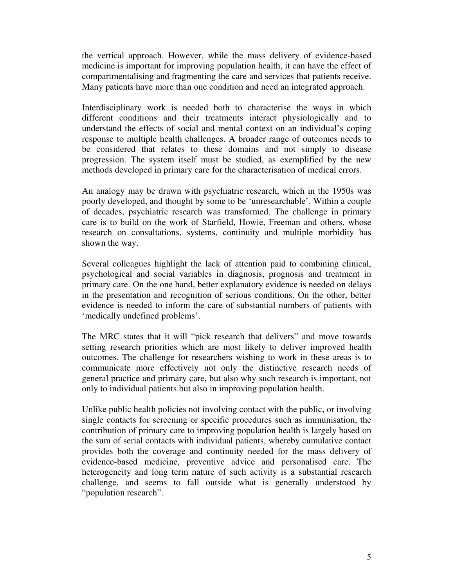the vertical approach. However, while the mass delivery of evidence-based medicine is important for improving population health, it can have the effect of compartmentalising and fragmenting the care and services that patients receive. Many patients have more than one condition and need an integrated approach.

Interdisciplinary work is needed both to characterise the ways in which different conditions and their treatments interact physiologically and to understand the effects of social and mental context on an individual's coping response to multiple health challenges. A broader range of outcomes needs to be considered that relates to these domains and not simply to disease progression. The system itself must be studied, as exemplified by the new methods developed in primary care for the characterisation of medical errors.

An analogy may be drawn with psychiatric research, which in the 1950s was poorly developed, and thought by some to be 'unresearchable'. Within a couple of decades, psychiatric research was transformed. The challenge in primary care is to build on the work of Starfield, Howie, Freeman and others, whose research on consultations, systems, continuity and multiple morbidity has shown the way.

Several colleagues highlight the lack of attention paid to combining clinical, psychological and social variables in diagnosis, prognosis and treatment in primary care. On the one hand, better explanatory evidence is needed on delays in the presentation and recognition of serious conditions. On the other, better evidence is needed to inform the care of substantial numbers of patients with 'medically undefined problems'.

The MRC states that it will "pick research that delivers" and move towards setting research priorities which are most likely to deliver improved health outcomes. The challenge for researchers wishing to work in these areas is to communicate more effectively not only the distinctive research needs of general practice and primary care, but also why such research is important, not only to individual patients but also in improving population health.

Unlike public health policies not involving contact with the public, or involving single contacts for screening or specific procedures such as immunisation, the contribution of primary care to improving population health is largely based on the sum of serial contacts with individual patients, whereby cumulative contact provides both the coverage and continuity needed for the mass delivery of evidence-based medicine, preventive advice and personalised care. The heterogeneity and long term nature of such activity is a substantial research challenge, and seems to fall outside what is generally understood by "population research".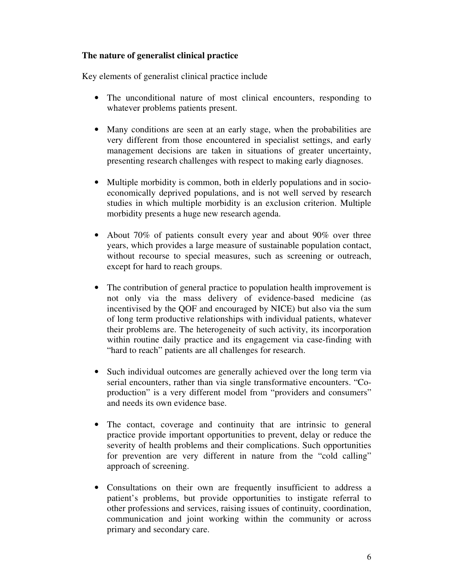# **The nature of generalist clinical practice**

Key elements of generalist clinical practice include

- The unconditional nature of most clinical encounters, responding to whatever problems patients present.
- Many conditions are seen at an early stage, when the probabilities are very different from those encountered in specialist settings, and early management decisions are taken in situations of greater uncertainty, presenting research challenges with respect to making early diagnoses.
- Multiple morbidity is common, both in elderly populations and in socioeconomically deprived populations, and is not well served by research studies in which multiple morbidity is an exclusion criterion. Multiple morbidity presents a huge new research agenda.
- About 70% of patients consult every year and about 90% over three years, which provides a large measure of sustainable population contact, without recourse to special measures, such as screening or outreach, except for hard to reach groups.
- The contribution of general practice to population health improvement is not only via the mass delivery of evidence-based medicine (as incentivised by the QOF and encouraged by NICE) but also via the sum of long term productive relationships with individual patients, whatever their problems are. The heterogeneity of such activity, its incorporation within routine daily practice and its engagement via case-finding with "hard to reach" patients are all challenges for research.
- Such individual outcomes are generally achieved over the long term via serial encounters, rather than via single transformative encounters. "Coproduction" is a very different model from "providers and consumers" and needs its own evidence base.
- The contact, coverage and continuity that are intrinsic to general practice provide important opportunities to prevent, delay or reduce the severity of health problems and their complications. Such opportunities for prevention are very different in nature from the "cold calling" approach of screening.
- Consultations on their own are frequently insufficient to address a patient's problems, but provide opportunities to instigate referral to other professions and services, raising issues of continuity, coordination, communication and joint working within the community or across primary and secondary care.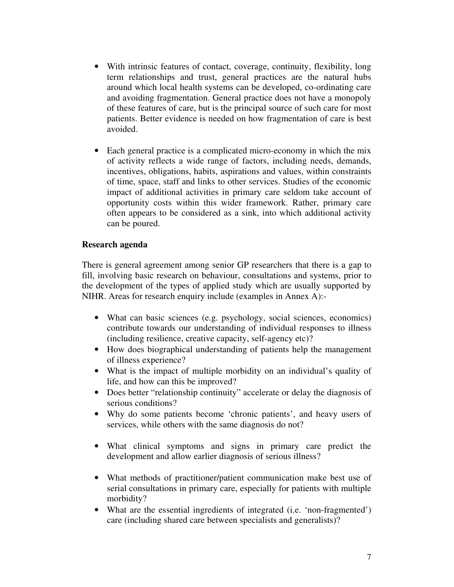- With intrinsic features of contact, coverage, continuity, flexibility, long term relationships and trust, general practices are the natural hubs around which local health systems can be developed, co-ordinating care and avoiding fragmentation. General practice does not have a monopoly of these features of care, but is the principal source of such care for most patients. Better evidence is needed on how fragmentation of care is best avoided.
- Each general practice is a complicated micro-economy in which the mix of activity reflects a wide range of factors, including needs, demands, incentives, obligations, habits, aspirations and values, within constraints of time, space, staff and links to other services. Studies of the economic impact of additional activities in primary care seldom take account of opportunity costs within this wider framework. Rather, primary care often appears to be considered as a sink, into which additional activity can be poured.

## **Research agenda**

There is general agreement among senior GP researchers that there is a gap to fill, involving basic research on behaviour, consultations and systems, prior to the development of the types of applied study which are usually supported by NIHR. Areas for research enquiry include (examples in Annex A):-

- What can basic sciences (e.g. psychology, social sciences, economics) contribute towards our understanding of individual responses to illness (including resilience, creative capacity, self-agency etc)?
- How does biographical understanding of patients help the management of illness experience?
- What is the impact of multiple morbidity on an individual's quality of life, and how can this be improved?
- Does better "relationship continuity" accelerate or delay the diagnosis of serious conditions?
- Why do some patients become 'chronic patients', and heavy users of services, while others with the same diagnosis do not?
- What clinical symptoms and signs in primary care predict the development and allow earlier diagnosis of serious illness?
- What methods of practitioner/patient communication make best use of serial consultations in primary care, especially for patients with multiple morbidity?
- What are the essential ingredients of integrated (i.e. 'non-fragmented') care (including shared care between specialists and generalists)?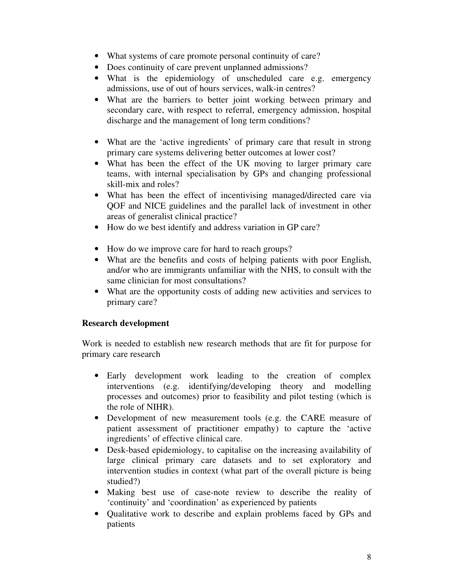- What systems of care promote personal continuity of care?
- Does continuity of care prevent unplanned admissions?
- What is the epidemiology of unscheduled care e.g. emergency admissions, use of out of hours services, walk-in centres?
- What are the barriers to better joint working between primary and secondary care, with respect to referral, emergency admission, hospital discharge and the management of long term conditions?
- What are the 'active ingredients' of primary care that result in strong primary care systems delivering better outcomes at lower cost?
- What has been the effect of the UK moving to larger primary care teams, with internal specialisation by GPs and changing professional skill-mix and roles?
- What has been the effect of incentivising managed/directed care via QOF and NICE guidelines and the parallel lack of investment in other areas of generalist clinical practice?
- How do we best identify and address variation in GP care?
- How do we improve care for hard to reach groups?
- What are the benefits and costs of helping patients with poor English, and/or who are immigrants unfamiliar with the NHS, to consult with the same clinician for most consultations?
- What are the opportunity costs of adding new activities and services to primary care?

# **Research development**

Work is needed to establish new research methods that are fit for purpose for primary care research

- Early development work leading to the creation of complex interventions (e.g. identifying/developing theory and modelling processes and outcomes) prior to feasibility and pilot testing (which is the role of NIHR).
- Development of new measurement tools (e.g. the CARE measure of patient assessment of practitioner empathy) to capture the 'active ingredients' of effective clinical care.
- Desk-based epidemiology, to capitalise on the increasing availability of large clinical primary care datasets and to set exploratory and intervention studies in context (what part of the overall picture is being studied?)
- Making best use of case-note review to describe the reality of 'continuity' and 'coordination' as experienced by patients
- Qualitative work to describe and explain problems faced by GPs and patients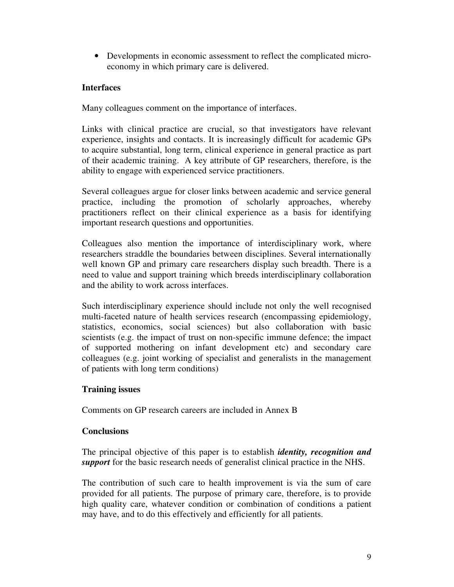• Developments in economic assessment to reflect the complicated microeconomy in which primary care is delivered.

# **Interfaces**

Many colleagues comment on the importance of interfaces.

Links with clinical practice are crucial, so that investigators have relevant experience, insights and contacts. It is increasingly difficult for academic GPs to acquire substantial, long term, clinical experience in general practice as part of their academic training. A key attribute of GP researchers, therefore, is the ability to engage with experienced service practitioners.

Several colleagues argue for closer links between academic and service general practice, including the promotion of scholarly approaches, whereby practitioners reflect on their clinical experience as a basis for identifying important research questions and opportunities.

Colleagues also mention the importance of interdisciplinary work, where researchers straddle the boundaries between disciplines. Several internationally well known GP and primary care researchers display such breadth. There is a need to value and support training which breeds interdisciplinary collaboration and the ability to work across interfaces.

Such interdisciplinary experience should include not only the well recognised multi-faceted nature of health services research (encompassing epidemiology, statistics, economics, social sciences) but also collaboration with basic scientists (e.g. the impact of trust on non-specific immune defence; the impact of supported mothering on infant development etc) and secondary care colleagues (e.g. joint working of specialist and generalists in the management of patients with long term conditions)

# **Training issues**

Comments on GP research careers are included in Annex B

# **Conclusions**

The principal objective of this paper is to establish *identity, recognition and support* for the basic research needs of generalist clinical practice in the NHS.

The contribution of such care to health improvement is via the sum of care provided for all patients. The purpose of primary care, therefore, is to provide high quality care, whatever condition or combination of conditions a patient may have, and to do this effectively and efficiently for all patients.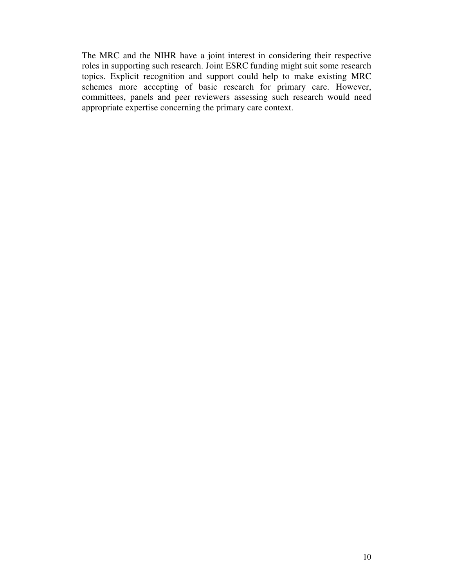The MRC and the NIHR have a joint interest in considering their respective roles in supporting such research. Joint ESRC funding might suit some research topics. Explicit recognition and support could help to make existing MRC schemes more accepting of basic research for primary care. However, committees, panels and peer reviewers assessing such research would need appropriate expertise concerning the primary care context.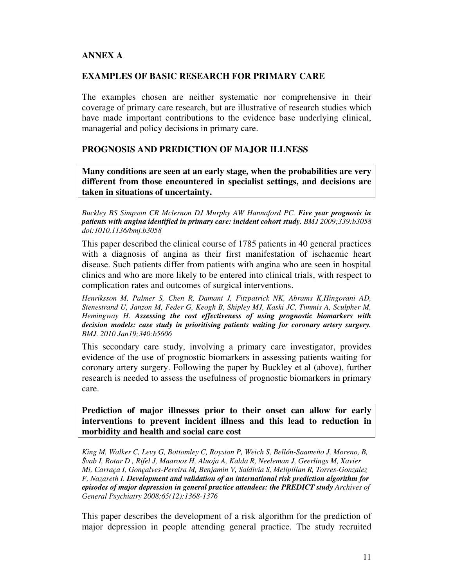# **ANNEX A**

## **EXAMPLES OF BASIC RESEARCH FOR PRIMARY CARE**

The examples chosen are neither systematic nor comprehensive in their coverage of primary care research, but are illustrative of research studies which have made important contributions to the evidence base underlying clinical, managerial and policy decisions in primary care.

## **PROGNOSIS AND PREDICTION OF MAJOR ILLNESS**

**Many conditions are seen at an early stage, when the probabilities are very different from those encountered in specialist settings, and decisions are taken in situations of uncertainty.** 

*Buckley BS Simpson CR Mclernon DJ Murphy AW Hannaford PC. Five year prognosis in patients with angina identified in primary care: incident cohort study. BMJ 2009;339:b3058 doi:1010.1136/bmj.b3058* 

This paper described the clinical course of 1785 patients in 40 general practices with a diagnosis of angina as their first manifestation of ischaemic heart disease. Such patients differ from patients with angina who are seen in hospital clinics and who are more likely to be entered into clinical trials, with respect to complication rates and outcomes of surgical interventions.

*Henriksson M, Palmer S, Chen R, Damant J, Fitzpatrick NK, Abrams K,Hingorani AD, Stenestrand U, Janzon M, Feder G, Keogh B, Shipley MJ, Kaski JC, Timmis A, Sculpher M, Hemingway H. Assessing the cost effectiveness of using prognostic biomarkers with decision models: case study in prioritising patients waiting for coronary artery surgery. BMJ. 2010 Jan19;340:b5606* 

This secondary care study, involving a primary care investigator, provides evidence of the use of prognostic biomarkers in assessing patients waiting for coronary artery surgery. Following the paper by Buckley et al (above), further research is needed to assess the usefulness of prognostic biomarkers in primary care.

**Prediction of major illnesses prior to their onset can allow for early interventions to prevent incident illness and this lead to reduction in morbidity and health and social care cost** 

*King M, Walker C, Levy G, Bottomley C, Royston P, Weich S, Bellón-Saameño J, Moreno, B, Švab I, Rotar D , Rifel J, Maaroos H, Aluoja A, Kalda R, Neeleman J, Geerlings M, Xavier Mi, Carraça I, Gonçalves-Pereira M, Benjamin V, Saldivia S, Melipillan R, Torres-Gonzalez F, Nazareth I. Development and validation of an international risk prediction algorithm for episodes of major depression in general practice attendees: the PREDICT study Archives of General Psychiatry 2008;65(12):1368-1376* 

This paper describes the development of a risk algorithm for the prediction of major depression in people attending general practice. The study recruited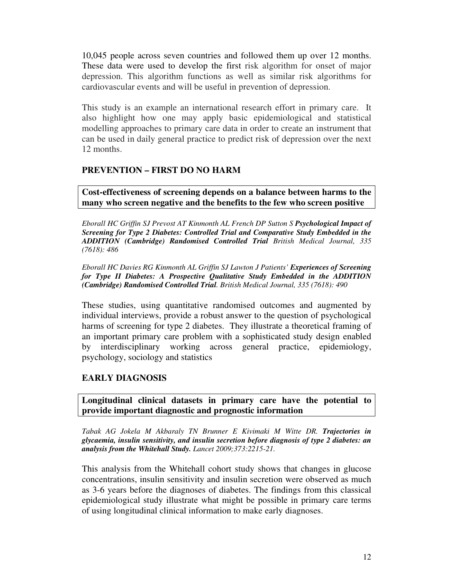10,045 people across seven countries and followed them up over 12 months. These data were used to develop the first risk algorithm for onset of major depression. This algorithm functions as well as similar risk algorithms for cardiovascular events and will be useful in prevention of depression.

This study is an example an international research effort in primary care. It also highlight how one may apply basic epidemiological and statistical modelling approaches to primary care data in order to create an instrument that can be used in daily general practice to predict risk of depression over the next 12 months.

## **PREVENTION – FIRST DO NO HARM**

**Cost-effectiveness of screening depends on a balance between harms to the many who screen negative and the benefits to the few who screen positive** 

*Eborall HC Griffin SJ Prevost AT Kinmonth AL French DP Sutton S Psychological Impact of Screening for Type 2 Diabetes: Controlled Trial and Comparative Study Embedded in the ADDITION (Cambridge) Randomised Controlled Trial British Medical Journal, 335 (7618): 486* 

*Eborall HC Davies RG Kinmonth AL Griffin SJ Lawton J Patients' Experiences of Screening for Type II Diabetes: A Prospective Qualitative Study Embedded in the ADDITION (Cambridge) Randomised Controlled Trial. British Medical Journal, 335 (7618): 490* 

These studies, using quantitative randomised outcomes and augmented by individual interviews, provide a robust answer to the question of psychological harms of screening for type 2 diabetes. They illustrate a theoretical framing of an important primary care problem with a sophisticated study design enabled by interdisciplinary working across general practice, epidemiology, psychology, sociology and statistics

# **EARLY DIAGNOSIS**

**Longitudinal clinical datasets in primary care have the potential to provide important diagnostic and prognostic information** 

*Tabak AG Jokela M Akbaraly TN Brunner E Kivimaki M Witte DR. Trajectories in glycaemia, insulin sensitivity, and insulin secretion before diagnosis of type 2 diabetes: an analysis from the Whitehall Study. Lancet 2009;373:2215-21.* 

This analysis from the Whitehall cohort study shows that changes in glucose concentrations, insulin sensitivity and insulin secretion were observed as much as 3-6 years before the diagnoses of diabetes. The findings from this classical epidemiological study illustrate what might be possible in primary care terms of using longitudinal clinical information to make early diagnoses.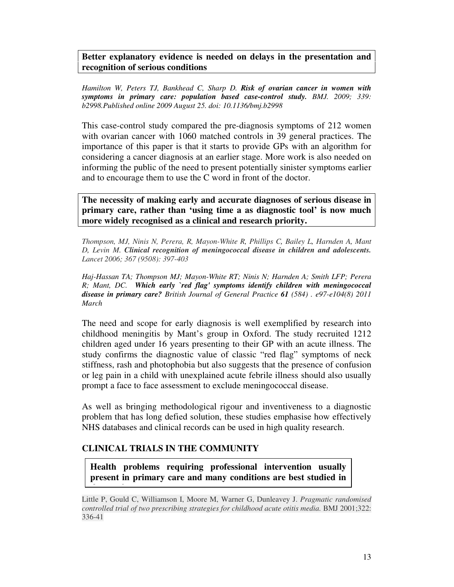## **Better explanatory evidence is needed on delays in the presentation and recognition of serious conditions**

*Hamilton W, Peters TJ, Bankhead C, Sharp D. Risk of ovarian cancer in women with symptoms in primary care: population based case-control study. BMJ. 2009; 339: b2998.Published online 2009 August 25. doi: 10.1136/bmj.b2998* 

This case-control study compared the pre-diagnosis symptoms of 212 women with ovarian cancer with 1060 matched controls in 39 general practices. The importance of this paper is that it starts to provide GPs with an algorithm for considering a cancer diagnosis at an earlier stage. More work is also needed on informing the public of the need to present potentially sinister symptoms earlier and to encourage them to use the C word in front of the doctor.

**The necessity of making early and accurate diagnoses of serious disease in primary care, rather than 'using time a as diagnostic tool' is now much more widely recognised as a clinical and research priority.** 

*Thompson, MJ, Ninis N, Perera, R, Mayon-White R, Phillips C, Bailey L, Harnden A, Mant D, Levin M. Clinical recognition of meningococcal disease in children and adolescents. Lancet 2006; 367 (9508): 397-403*

*Haj-Hassan TA; Thompson MJ; Mayon-White RT; Ninis N; Harnden A; Smith LFP; Perera R; Mant, DC. Which early `red flag' symptoms identify children with meningococcal disease in primary care? British Journal of General Practice 61 (584) . e97-e104(8) 2011 March* 

The need and scope for early diagnosis is well exemplified by research into childhood meningitis by Mant's group in Oxford. The study recruited 1212 children aged under 16 years presenting to their GP with an acute illness. The study confirms the diagnostic value of classic "red flag" symptoms of neck stiffness, rash and photophobia but also suggests that the presence of confusion or leg pain in a child with unexplained acute febrile illness should also usually prompt a face to face assessment to exclude meningococcal disease.

As well as bringing methodological rigour and inventiveness to a diagnostic problem that has long defied solution, these studies emphasise how effectively NHS databases and clinical records can be used in high quality research.

#### **CLINICAL TRIALS IN THE COMMUNITY**

<mark>that setting.</mark><br>The setting of the setting.

**Health problems requiring professional intervention usually present in primary care and many conditions are best studied in** 

Little P, Gould C, Williamson I, Moore M, Warner G, Dunleavey J. *Pragmatic randomised controlled trial of two prescribing strategies for childhood acute otitis media.* BMJ 2001;322: 336-41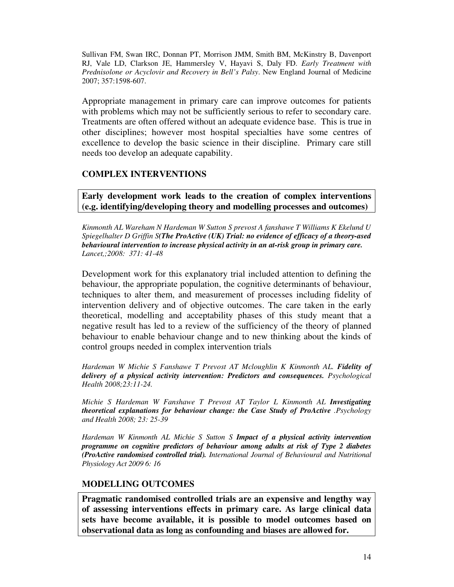Sullivan FM, Swan IRC, Donnan PT, Morrison JMM, Smith BM, McKinstry B, Davenport RJ, Vale LD, Clarkson JE, Hammersley V, Hayavi S, Daly FD. *Early Treatment with Prednisolone or Acyclovir and Recovery in Bell's Palsy*. New England Journal of Medicine 2007; 357:1598-607.

Appropriate management in primary care can improve outcomes for patients with problems which may not be sufficiently serious to refer to secondary care. Treatments are often offered without an adequate evidence base. This is true in other disciplines; however most hospital specialties have some centres of excellence to develop the basic science in their discipline. Primary care still needs too develop an adequate capability.

#### **COMPLEX INTERVENTIONS**

**Early development work leads to the creation of complex interventions (e.g. identifying/developing theory and modelling processes and outcomes)** 

*Kinmonth AL Wareham N Hardeman W Sutton S prevost A fanshawe T Williams K Ekelund U Spiegelhalter D Griffin S(The ProActive (UK) Trial: no evidence of efficacy of a theory-ased behavioural intervention to increase physical activity in an at-risk group in primary care. Lancet,;2008: 371: 41-48* 

Development work for this explanatory trial included attention to defining the behaviour, the appropriate population, the cognitive determinants of behaviour, techniques to alter them, and measurement of processes including fidelity of intervention delivery and of objective outcomes. The care taken in the early theoretical, modelling and acceptability phases of this study meant that a negative result has led to a review of the sufficiency of the theory of planned behaviour to enable behaviour change and to new thinking about the kinds of control groups needed in complex intervention trials

*Hardeman W Michie S Fanshawe T Prevost AT Mcloughlin K Kinmonth AL. Fidelity of delivery of a physical activity intervention: Predictors and consequences. Psychological Health 2008;23:11-24.* 

*Michie S Hardeman W Fanshawe T Prevost AT Taylor L Kinmonth AL Investigating theoretical explanations for behaviour change: the Case Study of ProActive .Psychology and Health 2008; 23: 25-39* 

*Hardeman W Kinmonth AL Michie S Sutton S Impact of a physical activity intervention programme on cognitive predictors of behaviour among adults at risk of Type 2 diabetes (ProActive randomised controlled trial). International Journal of Behavioural and Nutritional Physiology Act 2009 6: 16* 

# **MODELLING OUTCOMES**

**Pragmatic randomised controlled trials are an expensive and lengthy way of assessing interventions effects in primary care. As large clinical data sets have become available, it is possible to model outcomes based on observational data as long as confounding and biases are allowed for.**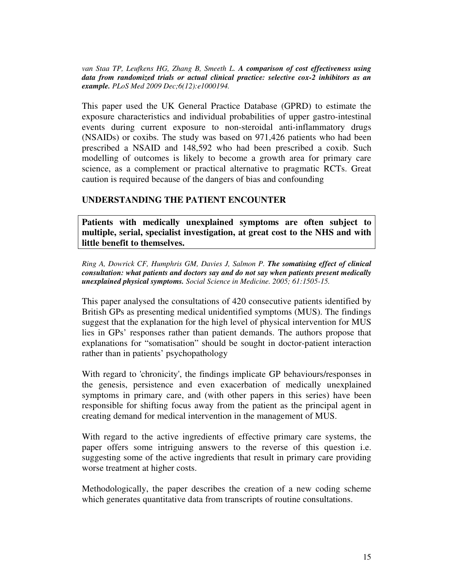*van Staa TP, Leufkens HG, Zhang B, Smeeth L. A comparison of cost effectiveness using data from randomized trials or actual clinical practice: selective cox-2 inhibitors as an example. PLoS Med 2009 Dec;6(12):e1000194.* 

This paper used the UK General Practice Database (GPRD) to estimate the exposure characteristics and individual probabilities of upper gastro-intestinal events during current exposure to non-steroidal anti-inflammatory drugs (NSAIDs) or coxibs. The study was based on 971,426 patients who had been prescribed a NSAID and 148,592 who had been prescribed a coxib. Such modelling of outcomes is likely to become a growth area for primary care science, as a complement or practical alternative to pragmatic RCTs. Great caution is required because of the dangers of bias and confounding

#### **UNDERSTANDING THE PATIENT ENCOUNTER**

**Patients with medically unexplained symptoms are often subject to multiple, serial, specialist investigation, at great cost to the NHS and with little benefit to themselves.** 

*Ring A, Dowrick CF, Humphris GM, Davies J, Salmon P. The somatising effect of clinical consultation: what patients and doctors say and do not say when patients present medically unexplained physical symptoms. Social Science in Medicine. 2005; 61:1505-15.* 

This paper analysed the consultations of 420 consecutive patients identified by British GPs as presenting medical unidentified symptoms (MUS). The findings suggest that the explanation for the high level of physical intervention for MUS lies in GPs' responses rather than patient demands. The authors propose that explanations for "somatisation" should be sought in doctor-patient interaction rather than in patients' psychopathology

With regard to 'chronicity', the findings implicate GP behaviours/responses in the genesis, persistence and even exacerbation of medically unexplained symptoms in primary care, and (with other papers in this series) have been responsible for shifting focus away from the patient as the principal agent in creating demand for medical intervention in the management of MUS.

With regard to the active ingredients of effective primary care systems, the paper offers some intriguing answers to the reverse of this question i.e. suggesting some of the active ingredients that result in primary care providing worse treatment at higher costs.

Methodologically, the paper describes the creation of a new coding scheme which generates quantitative data from transcripts of routine consultations.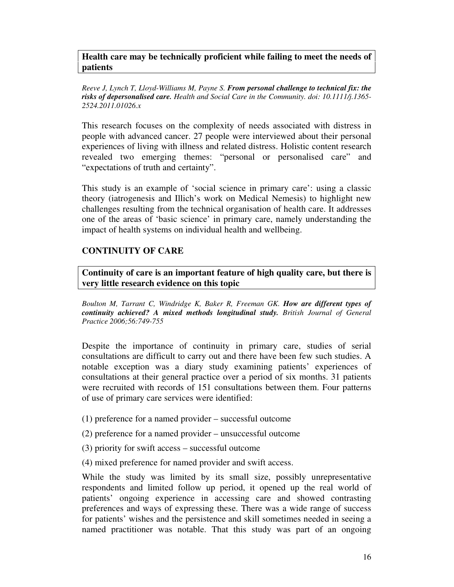**Health care may be technically proficient while failing to meet the needs of patients** 

*Reeve J, Lynch T, Lloyd-Williams M, Payne S. From personal challenge to technical fix: the risks of depersonalised care. Health and Social Care in the Community. doi: 10.1111/j.1365- 2524.2011.01026.x* 

This research focuses on the complexity of needs associated with distress in people with advanced cancer. 27 people were interviewed about their personal experiences of living with illness and related distress. Holistic content research revealed two emerging themes: "personal or personalised care" and "expectations of truth and certainty".

This study is an example of 'social science in primary care': using a classic theory (iatrogenesis and Illich's work on Medical Nemesis) to highlight new challenges resulting from the technical organisation of health care. It addresses one of the areas of 'basic science' in primary care, namely understanding the impact of health systems on individual health and wellbeing.

## **CONTINUITY OF CARE**

**Continuity of care is an important feature of high quality care, but there is very little research evidence on this topic** 

*Boulton M, Tarrant C, Windridge K, Baker R, Freeman GK. How are different types of continuity achieved? A mixed methods longitudinal study. British Journal of General Practice 2006;56:749-755* 

Despite the importance of continuity in primary care, studies of serial consultations are difficult to carry out and there have been few such studies. A notable exception was a diary study examining patients' experiences of consultations at their general practice over a period of six months. 31 patients were recruited with records of 151 consultations between them. Four patterns of use of primary care services were identified:

- (1) preference for a named provider successful outcome
- (2) preference for a named provider unsuccessful outcome
- (3) priority for swift access successful outcome
- (4) mixed preference for named provider and swift access.

While the study was limited by its small size, possibly unrepresentative respondents and limited follow up period, it opened up the real world of patients' ongoing experience in accessing care and showed contrasting preferences and ways of expressing these. There was a wide range of success for patients' wishes and the persistence and skill sometimes needed in seeing a named practitioner was notable. That this study was part of an ongoing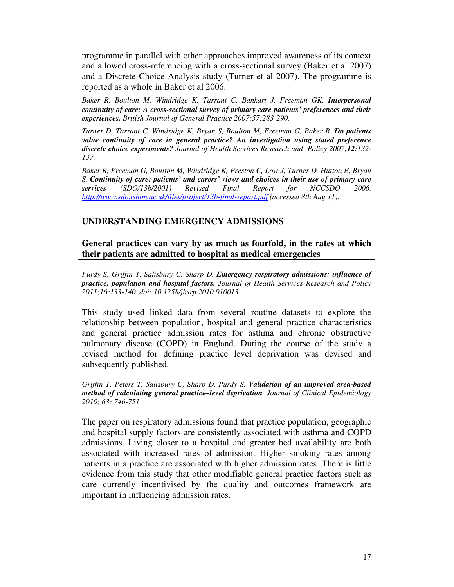programme in parallel with other approaches improved awareness of its context and allowed cross-referencing with a cross-sectional survey (Baker et al 2007) and a Discrete Choice Analysis study (Turner et al 2007). The programme is reported as a whole in Baker et al 2006.

Baker R, Boulton M, Windridge K, Tarrant C, Bankart J, Freeman GK. Interpersonal *continuity of care: A cross-sectional survey of primary care patients' preferences and their experiences. British Journal of General Practice 2007;57:283-290.* 

*Turner D, Tarrant C, Windridge K, Bryan S, Boulton M, Freeman G, Baker R. Do patients value continuity of care in general practice? An investigation using stated preference discrete choice experiments? Journal of Health Services Research and Policy 2007;12:132- 137.* 

*Baker R, Freeman G, Boulton M, Windridge K, Preston C, Low J, Turner D, Hutton E, Bryan S. Continuity of care: patients' and carers' views and choices in their use of primary care services (SDO/13b/2001) Revised Final Report for NCCSDO 2006. http://www.sdo.lshtm.ac.uk/files/project/13b-final-report.pdf (accessed 8th Aug 11).* 

#### **UNDERSTANDING EMERGENCY ADMISSIONS**

**General practices can vary by as much as fourfold, in the rates at which their patients are admitted to hospital as medical emergencies** 

*Purdy S, Griffin T, Salisbury C, Sharp D. Emergency respiratory admissions: influence of practice, population and hospital factors. Journal of Health Services Research and Policy 2011;16:133-140. doi: 10.1258/jhsrp.2010.010013* 

This study used linked data from several routine datasets to explore the relationship between population, hospital and general practice characteristics and general practice admission rates for asthma and chronic obstructive pulmonary disease (COPD) in England. During the course of the study a revised method for defining practice level deprivation was devised and subsequently published.

*Griffin T, Peters T, Salisbury C, Sharp D, Purdy S. Validation of an improved area-based method of calculating general practice–level deprivation. Journal of Clinical Epidemiology 2010; 63: 746-751* 

The paper on respiratory admissions found that practice population, geographic and hospital supply factors are consistently associated with asthma and COPD admissions. Living closer to a hospital and greater bed availability are both associated with increased rates of admission. Higher smoking rates among patients in a practice are associated with higher admission rates. There is little evidence from this study that other modifiable general practice factors such as care currently incentivised by the quality and outcomes framework are important in influencing admission rates.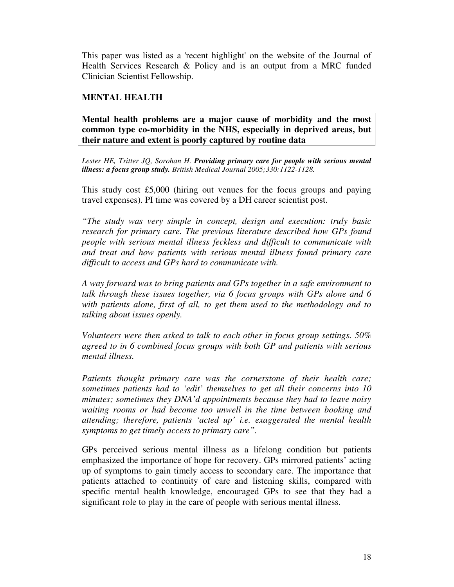This paper was listed as a 'recent highlight' on the website of the Journal of Health Services Research & Policy and is an output from a MRC funded Clinician Scientist Fellowship.

#### **MENTAL HEALTH**

**Mental health problems are a major cause of morbidity and the most common type co-morbidity in the NHS, especially in deprived areas, but their nature and extent is poorly captured by routine data** 

*Lester HE, Tritter JQ, Sorohan H. Providing primary care for people with serious mental illness: a focus group study. British Medical Journal 2005;330:1122-1128.* 

This study cost £5,000 (hiring out venues for the focus groups and paying travel expenses). PI time was covered by a DH career scientist post.

*"The study was very simple in concept, design and execution: truly basic research for primary care. The previous literature described how GPs found people with serious mental illness feckless and difficult to communicate with and treat and how patients with serious mental illness found primary care difficult to access and GPs hard to communicate with.* 

*A way forward was to bring patients and GPs together in a safe environment to talk through these issues together, via 6 focus groups with GPs alone and 6 with patients alone, first of all, to get them used to the methodology and to talking about issues openly.* 

*Volunteers were then asked to talk to each other in focus group settings. 50% agreed to in 6 combined focus groups with both GP and patients with serious mental illness.* 

*Patients thought primary care was the cornerstone of their health care; sometimes patients had to 'edit' themselves to get all their concerns into 10 minutes; sometimes they DNA'd appointments because they had to leave noisy waiting rooms or had become too unwell in the time between booking and attending; therefore, patients 'acted up' i.e. exaggerated the mental health symptoms to get timely access to primary care".* 

GPs perceived serious mental illness as a lifelong condition but patients emphasized the importance of hope for recovery. GPs mirrored patients' acting up of symptoms to gain timely access to secondary care. The importance that patients attached to continuity of care and listening skills, compared with specific mental health knowledge, encouraged GPs to see that they had a significant role to play in the care of people with serious mental illness.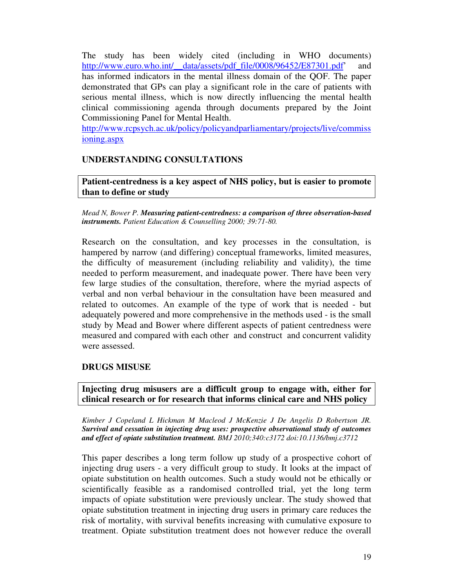The study has been widely cited (including in WHO documents) http://www.euro.who.int/ data/assets/pdf\_file/0008/96452/E87301.pdf' and has informed indicators in the mental illness domain of the QOF. The paper demonstrated that GPs can play a significant role in the care of patients with serious mental illness, which is now directly influencing the mental health clinical commissioning agenda through documents prepared by the Joint Commissioning Panel for Mental Health.

http://www.rcpsych.ac.uk/policy/policyandparliamentary/projects/live/commiss ioning.aspx

# **UNDERSTANDING CONSULTATIONS**

**Patient-centredness is a key aspect of NHS policy, but is easier to promote than to define or study** 

*Mead N, Bower P. Measuring patient-centredness: a comparison of three observation-based instruments. Patient Education & Counselling 2000; 39:71-80.* 

Research on the consultation, and key processes in the consultation, is hampered by narrow (and differing) conceptual frameworks, limited measures, the difficulty of measurement (including reliability and validity), the time needed to perform measurement, and inadequate power. There have been very few large studies of the consultation, therefore, where the myriad aspects of verbal and non verbal behaviour in the consultation have been measured and related to outcomes. An example of the type of work that is needed - but adequately powered and more comprehensive in the methods used - is the small study by Mead and Bower where different aspects of patient centredness were measured and compared with each other and construct and concurrent validity were assessed.

#### **DRUGS MISUSE**

**Injecting drug misusers are a difficult group to engage with, either for clinical research or for research that informs clinical care and NHS policy** 

*Kimber J Copeland L Hickman M Macleod J McKenzie J De Angelis D Robertson JR. Survival and cessation in injecting drug uses: prospective observational study of outcomes and effect of opiate substitution treatment. BMJ 2010;340:c3172 doi:10.1136/bmj.c3712* 

This paper describes a long term follow up study of a prospective cohort of injecting drug users - a very difficult group to study. It looks at the impact of opiate substitution on health outcomes. Such a study would not be ethically or scientifically feasible as a randomised controlled trial, yet the long term impacts of opiate substitution were previously unclear. The study showed that opiate substitution treatment in injecting drug users in primary care reduces the risk of mortality, with survival benefits increasing with cumulative exposure to treatment. Opiate substitution treatment does not however reduce the overall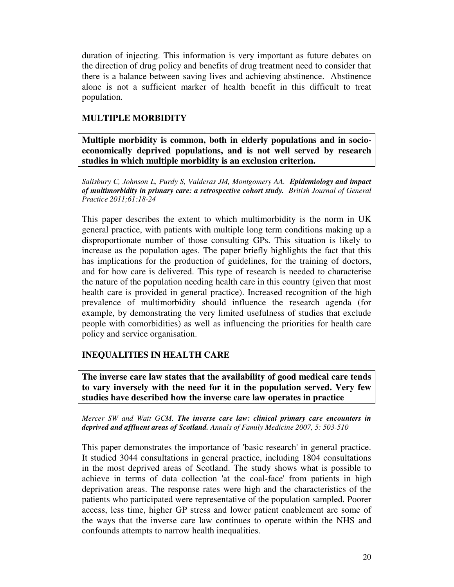duration of injecting. This information is very important as future debates on the direction of drug policy and benefits of drug treatment need to consider that there is a balance between saving lives and achieving abstinence. Abstinence alone is not a sufficient marker of health benefit in this difficult to treat population.

# **MULTIPLE MORBIDITY**

**Multiple morbidity is common, both in elderly populations and in socioeconomically deprived populations, and is not well served by research studies in which multiple morbidity is an exclusion criterion.** 

*Salisbury C, Johnson L, Purdy S, Valderas JM, Montgomery AA. Epidemiology and impact of multimorbidity in primary care: a retrospective cohort study. British Journal of General Practice 2011;61:18-24* 

This paper describes the extent to which multimorbidity is the norm in UK general practice, with patients with multiple long term conditions making up a disproportionate number of those consulting GPs. This situation is likely to increase as the population ages. The paper briefly highlights the fact that this has implications for the production of guidelines, for the training of doctors, and for how care is delivered. This type of research is needed to characterise the nature of the population needing health care in this country (given that most health care is provided in general practice). Increased recognition of the high prevalence of multimorbidity should influence the research agenda (for example, by demonstrating the very limited usefulness of studies that exclude people with comorbidities) as well as influencing the priorities for health care policy and service organisation.

# **INEQUALITIES IN HEALTH CARE**

**The inverse care law states that the availability of good medical care tends to vary inversely with the need for it in the population served. Very few studies have described how the inverse care law operates in practice** 

*Mercer SW and Watt GCM. The inverse care law: clinical primary care encounters in deprived and affluent areas of Scotland. Annals of Family Medicine 2007, 5: 503-510* 

This paper demonstrates the importance of 'basic research' in general practice. It studied 3044 consultations in general practice, including 1804 consultations in the most deprived areas of Scotland. The study shows what is possible to achieve in terms of data collection 'at the coal-face' from patients in high deprivation areas. The response rates were high and the characteristics of the patients who participated were representative of the population sampled. Poorer access, less time, higher GP stress and lower patient enablement are some of the ways that the inverse care law continues to operate within the NHS and confounds attempts to narrow health inequalities.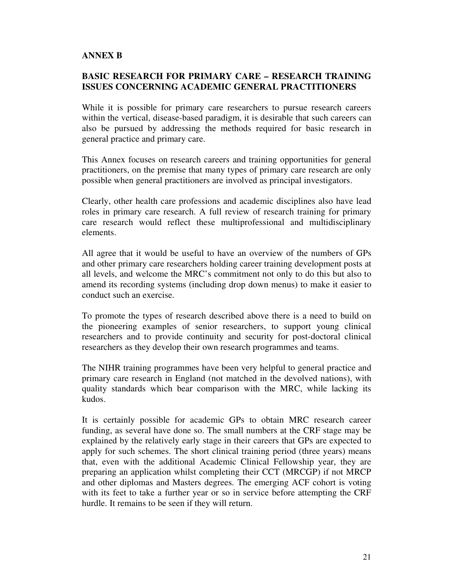## **ANNEX B**

# **BASIC RESEARCH FOR PRIMARY CARE – RESEARCH TRAINING ISSUES CONCERNING ACADEMIC GENERAL PRACTITIONERS**

While it is possible for primary care researchers to pursue research careers within the vertical, disease-based paradigm, it is desirable that such careers can also be pursued by addressing the methods required for basic research in general practice and primary care.

This Annex focuses on research careers and training opportunities for general practitioners, on the premise that many types of primary care research are only possible when general practitioners are involved as principal investigators.

Clearly, other health care professions and academic disciplines also have lead roles in primary care research. A full review of research training for primary care research would reflect these multiprofessional and multidisciplinary elements.

All agree that it would be useful to have an overview of the numbers of GPs and other primary care researchers holding career training development posts at all levels, and welcome the MRC's commitment not only to do this but also to amend its recording systems (including drop down menus) to make it easier to conduct such an exercise.

To promote the types of research described above there is a need to build on the pioneering examples of senior researchers, to support young clinical researchers and to provide continuity and security for post-doctoral clinical researchers as they develop their own research programmes and teams.

The NIHR training programmes have been very helpful to general practice and primary care research in England (not matched in the devolved nations), with quality standards which bear comparison with the MRC, while lacking its kudos.

It is certainly possible for academic GPs to obtain MRC research career funding, as several have done so. The small numbers at the CRF stage may be explained by the relatively early stage in their careers that GPs are expected to apply for such schemes. The short clinical training period (three years) means that, even with the additional Academic Clinical Fellowship year, they are preparing an application whilst completing their CCT (MRCGP) if not MRCP and other diplomas and Masters degrees. The emerging ACF cohort is voting with its feet to take a further year or so in service before attempting the CRF hurdle. It remains to be seen if they will return.